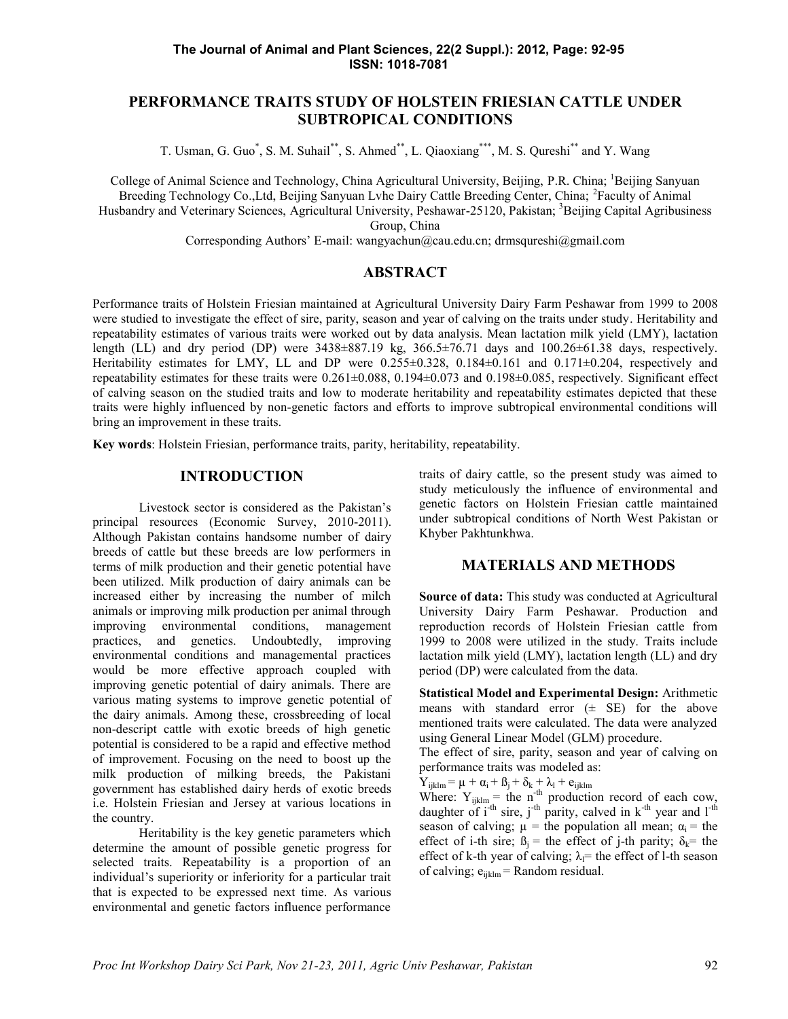# **PERFORMANCE TRAITS STUDY OF HOLSTEIN FRIESIAN CATTLE UNDER SUBTROPICAL CONDITIONS**

T. Usman, G. Guo<sup>\*</sup>, S. M. Suhail<sup>\*\*</sup>, S. Ahmed<sup>\*\*</sup>, L. Qiaoxiang<sup>\*\*\*</sup>, M. S. Qureshi<sup>\*\*</sup> and Y. Wang

College of Animal Science and Technology, China Agricultural University, Beijing, P.R. China; <sup>1</sup>Beijing Sanyuan Breeding Technology Co., Ltd, Beijing Sanyuan Lyhe Dairy Cattle Breeding Center, China; <sup>2</sup>Faculty of Animal Husbandry and Veterinary Sciences, Agricultural University, Peshawar-25120, Pakistan; <sup>3</sup>Beijing Capital Agribusiness

Group, China

Corresponding Authors' E-mail: wangyachun@cau.edu.cn; drmsqureshi@gmail.com

### **ABSTRACT**

Performance traits of Holstein Friesian maintained at Agricultural University Dairy Farm Peshawar from 1999 to 2008 were studied to investigate the effect of sire, parity, season and year of calving on the traits under study. Heritability and repeatability estimates of various traits were worked out by data analysis. Mean lactation milk yield (LMY), lactation length (LL) and dry period (DP) were  $3438\pm887.19$  kg,  $366.5\pm76.71$  days and  $100.26\pm61.38$  days, respectively. Heritability estimates for LMY, LL and DP were  $0.255\pm0.328$ ,  $0.184\pm0.161$  and  $0.171\pm0.204$ , respectively and repeatability estimates for these traits were  $0.261 \pm 0.088$ ,  $0.194 \pm 0.073$  and  $0.198 \pm 0.085$ , respectively. Significant effect of calving season on the studied traits and low to moderate heritability and repeatability estimates depicted that these traits were highly influenced by non-genetic factors and efforts to improve subtropical environmental conditions will bring an improvement in these traits.

**Key words**: Holstein Friesian, performance traits, parity, heritability, repeatability.

## **INTRODUCTION**

Livestock sector is considered as the Pakistan's principal resources (Economic Survey, 2010-2011). Although Pakistan contains handsome number of dairy breeds of cattle but these breeds are low performers in terms of milk production and their genetic potential have been utilized. Milk production of dairy animals can be increased either by increasing the number of milch animals or improving milk production per animal through improving environmental conditions, management practices, and genetics. Undoubtedly, improving environmental conditions and managemental practices would be more effective approach coupled with improving genetic potential of dairy animals. There are various mating systems to improve genetic potential of the dairy animals. Among these, crossbreeding of local non-descript cattle with exotic breeds of high genetic potential is considered to be a rapid and effective method of improvement. Focusing on the need to boost up the milk production of milking breeds, the Pakistani government has established dairy herds of exotic breeds i.e. Holstein Friesian and Jersey at various locations in the country.

Heritability is the key genetic parameters which determine the amount of possible genetic progress for selected traits. Repeatability is a proportion of an individual's superiority or inferiority for a particular trait that is expected to be expressed next time. As various environmental and genetic factors influence performance traits of dairy cattle, so the present study was aimed to study meticulously the influence of environmental and genetic factors on Holstein Friesian cattle maintained under subtropical conditions of North West Pakistan or Khyber Pakhtunkhwa.

#### **MATERIALS AND METHODS**

**Source of data:** This study was conducted at Agricultural University Dairy Farm Peshawar. Production and reproduction records of Holstein Friesian cattle from 1999 to 2008 were utilized in the study. Traits include lactation milk yield (LMY), lactation length (LL) and dry period (DP) were calculated from the data.

**Statistical Model and Experimental Design:** Arithmetic means with standard error  $(\pm$  SE) for the above mentioned traits were calculated. The data were analyzed using General Linear Model (GLM) procedure.

The effect of sire, parity, season and year of calving on performance traits was modeled as:

 $Y_{ijklm} = \mu + \alpha_i + \beta_j + \delta_k + \lambda_l + e_{ijklm}$ 

Where:  $Y_{ijklm}$  = the n<sup>-th</sup> production record of each cow, daughter of  $i^{-th}$  sire,  $j^{-th}$  parity, calved in  $k^{-th}$  year and  $l^{-th}$ season of calving;  $\mu$  = the population all mean;  $\alpha_i$  = the effect of i-th sire;  $\beta_i$  = the effect of j-th parity;  $\delta_k$  = the effect of k-th year of calving;  $\lambda$ = the effect of l-th season of calving;  $e_{iiklm}$  = Random residual.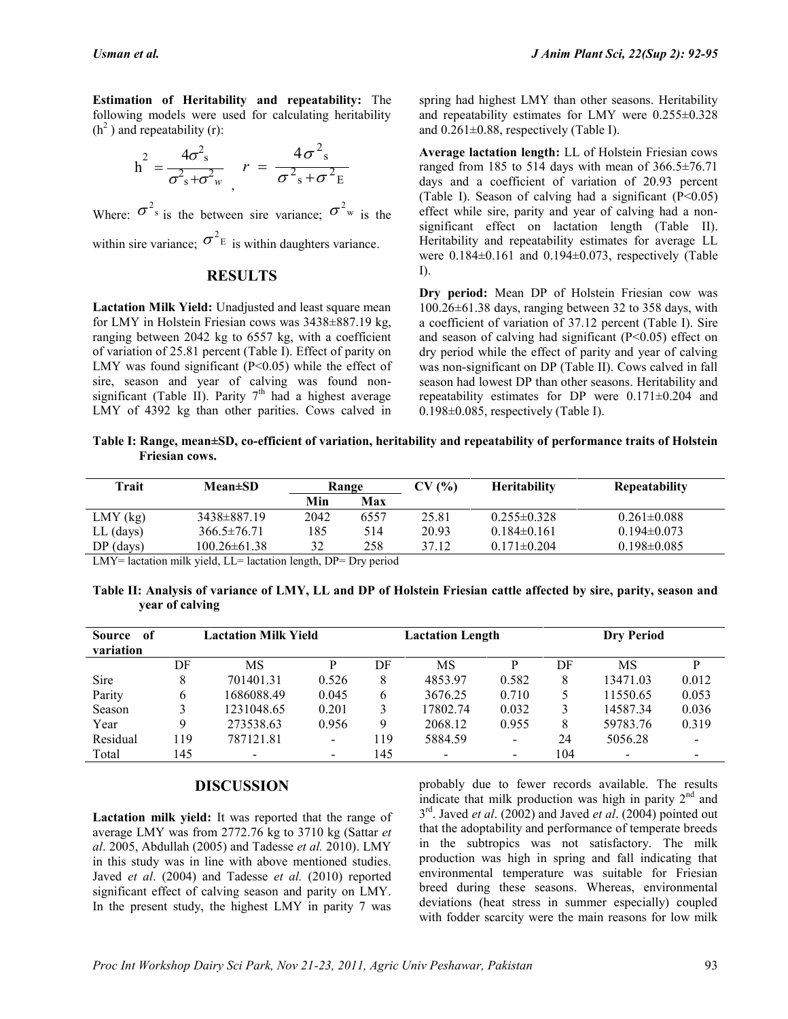**Estimation of Heritability and repeatability:** The following models were used for calculating heritability  $(h<sup>2</sup>)$  and repeatability (r):

$$
h^2 = \frac{4\sigma^2 s}{\sigma^2 s + \sigma^2 w} \qquad r = \frac{4\sigma^2 s}{\sigma^2 s + \sigma^2 E} \qquad \text{Any}
$$

Where:  $\sigma^2$ <sup>s</sup> is the between sire variance;  $\sigma^2$ <sup>w</sup> is the effect while sire, parity a within sire variance;  $\sigma^2$ <sup>E</sup> is within daughters variance.

### **RESULTS**

**Lactation Milk Yield:** Unadjusted and least square mean for LMY in Holstein Friesian cows was 3438±887.19 kg, ranging between 2042 kg to 6557 kg, with a coefficient of variation of 25.81 percent (Table I). Effect of parity on LMY was found significant  $(P<0.05)$  while the effect of sire, season and year of calving was found non significant (Table II). Parity  $7<sup>th</sup>$  had a highest average LMY of 4392 kg than other parities. Cows calved in spring had highest LMY than other seasons. Heritability and repeatability estimates for LMY were 0.255±0.328 and  $0.261 \pm 0.88$ , respectively (Table I).

 $\sigma^2$ <sub>s</sub> +  $\sigma^2$ <sub>E</sub> days and a coefficient of variation of 20.93 percent  $2^{\circ}$  is the effect while sire, parity and year of calving had a non-**Average lactation length:** LL of Holstein Friesian cows ranged from 185 to 514 days with mean of  $366.5\pm76.71$ (Table I). Season of calving had a significant  $(P<0.05)$ ) significant effect on lactation length (Table II). Heritability and repeatability estimates for average LL were  $0.184\pm0.161$  and  $0.194\pm0.073$ , respectively (Table I).

> **Dry period:** Mean DP of Holstein Friesian cow was 100.26±61.38 days, ranging between 32 to 358 days, with a coefficient of variation of 37.12 percent (Table I). Sire and season of calving had significant  $(P<0.05)$  effect on dry period while the effect of parity and year of calving was non-significant on DP (Table II). Cows calved in fall season had lowest DP than other seasons. Heritability and repeatability estimates for DP were 0.171±0.204 and 0.198±0.085, respectively (Table I).

**Table I: Range, mean±SD, co-efficient of variation, heritability and repeatability of performance traits of Holstein Friesian cows.**

| $Mean \pm SD$     | Range |      | CV(%) | <b>Heritability</b> | <b>Repeatability</b> |  |
|-------------------|-------|------|-------|---------------------|----------------------|--|
|                   | Min   | Max  |       |                     |                      |  |
| 3438±887.19       | 2042  | 6557 | 25.81 | $0.255 \pm 0.328$   | $0.261 \pm 0.088$    |  |
| $366.5\pm76.71$   | 185   | 514  | 20.93 | $0.184\pm0.161$     | $0.194\pm0.073$      |  |
| $100.26\pm 61.38$ | 32    | 258  | 37.12 | $0.171 \pm 0.204$   | $0.198 \pm 0.085$    |  |
|                   |       |      |       |                     |                      |  |

LMY= lactation milk yield, LL= lactation length, DP= Dry period

**Table II: Analysis of variance of LMY, LL and DP of Holstein Friesian cattle affected by sire, parity, season and year of calving**

| <b>Source</b><br>-of<br>variation | <b>Lactation Milk Yield</b> |                          |                          | <b>Lactation Length</b> |          |                          | <b>Dry Period</b> |                |                              |
|-----------------------------------|-----------------------------|--------------------------|--------------------------|-------------------------|----------|--------------------------|-------------------|----------------|------------------------------|
|                                   | DF                          | MS                       |                          | DF                      | MS       | D                        | DF                | MS             | D                            |
| Sire                              | 8                           | 701401.31                | 0.526                    | 8                       | 4853.97  | 0.582                    | 8                 | 13471.03       | 0.012                        |
| Parity                            | 6                           | 1686088.49               | 0.045                    | 6                       | 3676.25  | 0.710                    |                   | 11550.65       | 0.053                        |
| Season                            |                             | 1231048.65               | 0.201                    |                         | 17802.74 | 0.032                    |                   | 14587.34       | 0.036                        |
| Year                              | 9                           | 273538.63                | 0.956                    | Q                       | 2068.12  | 0.955                    | 8                 | 59783.76       | 0.319                        |
| Residual                          | 119                         | 787121.81                | $\overline{\phantom{0}}$ | 119                     | 5884.59  | $\overline{\phantom{a}}$ | 24                | 5056.28        | $\qquad \qquad \blacksquare$ |
| Total                             | 145                         | $\overline{\phantom{a}}$ |                          | 145                     |          | $\qquad \qquad$          | 104               | $\blacksquare$ | $\overline{\phantom{0}}$     |

#### **DISCUSSION**

**Lactation milk yield:** It was reported that the range of average LMY was from 2772.76 kg to 3710 kg (Sattar *et al*. 2005, Abdullah (2005) and Tadesse *et al.* 2010). LMY in this study was in line with above mentioned studies. Javed *et al*. (2004) and Tadesse *et al.* (2010) reported significant effect of calving season and parity on LMY. In the present study, the highest LMY in parity 7 was probably due to fewer records available. The results indicate that milk production was high in parity  $2<sup>nd</sup>$  and 3 rd . Javed *et al*. (2002) and Javed *et al*. (2004) pointed out that the adoptability and performance of temperate breeds in the subtropics was not satisfactory. The milk production was high in spring and fall indicating that environmental temperature was suitable for Friesian breed during these seasons. Whereas, environmental deviations (heat stress in summer especially) coupled with fodder scarcity were the main reasons for low milk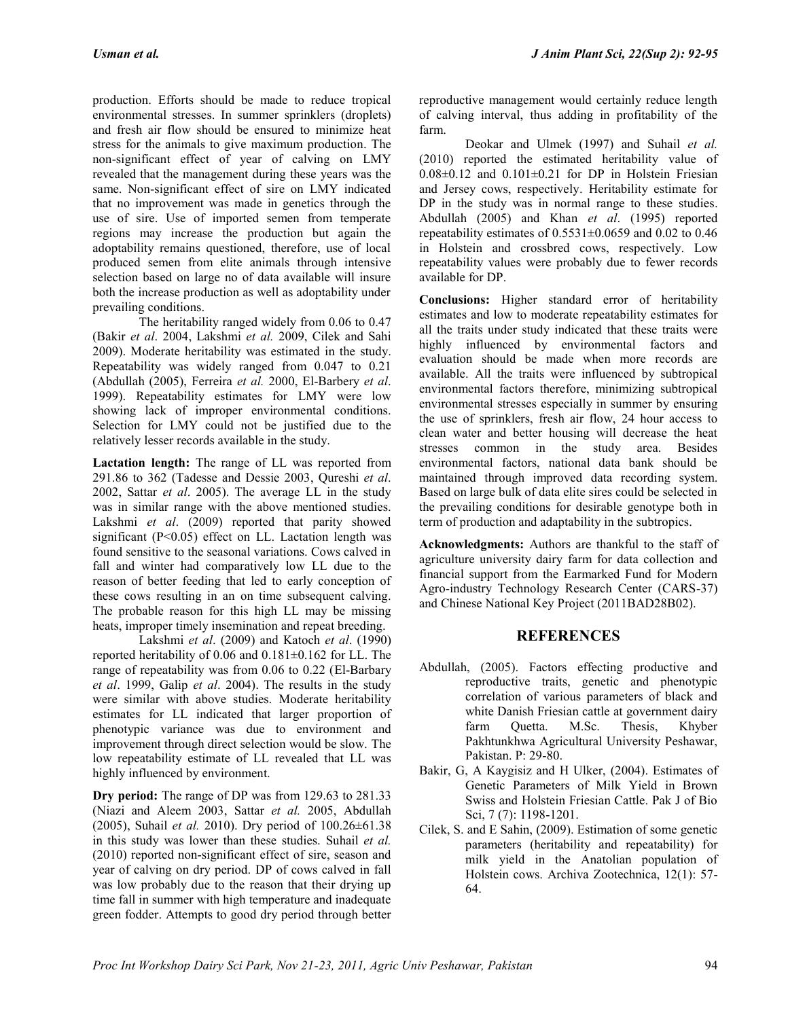production. Efforts should be made to reduce tropical environmental stresses. In summer sprinklers (droplets) and fresh air flow should be ensured to minimize heat stress for the animals to give maximum production. The non-significant effect of year of calving on LMY revealed that the management during these years was the same. Non-significant effect of sire on LMY indicated that no improvement was made in genetics through the use of sire. Use of imported semen from temperate regions may increase the production but again the adoptability remains questioned, therefore, use of local produced semen from elite animals through intensive selection based on large no of data available will insure both the increase production as well as adoptability under prevailing conditions.

The heritability ranged widely from 0.06 to 0.47 (Bakir *et al*. 2004, Lakshmi *et al.* 2009, Cilek and Sahi 2009). Moderate heritability was estimated in the study. Repeatability was widely ranged from 0.047 to 0.21 (Abdullah (2005), Ferreira *et al.* 2000, El-Barbery *et al*. 1999). Repeatability estimates for LMY were low showing lack of improper environmental conditions. Selection for LMY could not be justified due to the relatively lesser records available in the study.

**Lactation length:** The range of LL was reported from 291.86 to 362 (Tadesse and Dessie 2003, Qureshi *et al*. 2002, Sattar *et al*. 2005). The average LL in the study was in similar range with the above mentioned studies. Lakshmi *et al*. (2009) reported that parity showed significant (P<0.05) effect on LL. Lactation length was found sensitive to the seasonal variations. Cows calved in fall and winter had comparatively low LL due to the reason of better feeding that led to early conception of these cows resulting in an on time subsequent calving. The probable reason for this high LL may be missing heats, improper timely insemination and repeat breeding.

Lakshmi *et al*. (2009) and Katoch *et al*. (1990) reported heritability of 0.06 and 0.181±0.162 for LL. The range of repeatability was from 0.06 to 0.22 (El-Barbary *et al*. 1999, Galip *et al*. 2004). The results in the study were similar with above studies. Moderate heritability estimates for LL indicated that larger proportion of phenotypic variance was due to environment and improvement through direct selection would be slow. The low repeatability estimate of LL revealed that LL was highly influenced by environment.

**Dry period:** The range of DP was from 129.63 to 281.33 (Niazi and Aleem 2003, Sattar *et al.* 2005, Abdullah (2005), Suhail *et al.* 2010). Dry period of 100.26±61.38 in this study was lower than these studies. Suhail *et al.* (2010) reported non-significant effect of sire, season and year of calving on dry period. DP of cows calved in fall was low probably due to the reason that their drying up time fall in summer with high temperature and inadequate green fodder. Attempts to good dry period through better

reproductive management would certainly reduce length of calving interval, thus adding in profitability of the farm.

Deokar and Ulmek (1997) and Suhail *et al.* (2010) reported the estimated heritability value of  $0.08\pm0.12$  and  $0.101\pm0.21$  for DP in Holstein Friesian and Jersey cows, respectively. Heritability estimate for DP in the study was in normal range to these studies. Abdullah (2005) and Khan *et al*. (1995) reported repeatability estimates of  $0.5531 \pm 0.0659$  and  $0.02$  to  $0.46$ in Holstein and crossbred cows, respectively. Low repeatability values were probably due to fewer records available for DP.

**Conclusions:** Higher standard error of heritability estimates and low to moderate repeatability estimates for all the traits under study indicated that these traits were highly influenced by environmental factors and evaluation should be made when more records are available. All the traits were influenced by subtropical environmental factors therefore, minimizing subtropical environmental stresses especially in summer by ensuring the use of sprinklers, fresh air flow, 24 hour access to clean water and better housing will decrease the heat stresses common in the study area. Besides environmental factors, national data bank should be maintained through improved data recording system. Based on large bulk of data elite sires could be selected in the prevailing conditions for desirable genotype both in term of production and adaptability in the subtropics.

**Acknowledgments:** Authors are thankful to the staff of agriculture university dairy farm for data collection and financial support from the Earmarked Fund for Modern Agro-industry Technology Research Center (CARS-37) and Chinese National Key Project (2011BAD28B02).

# **REFERENCES**

- Abdullah, (2005). Factors effecting productive and reproductive traits, genetic and phenotypic correlation of various parameters of black and white Danish Friesian cattle at government dairy farm Quetta. M.Sc. Thesis, Khyber Pakhtunkhwa Agricultural University Peshawar, Pakistan. P: 29-80.
- Bakir, G, A Kaygisiz and H Ulker, (2004). Estimates of Genetic Parameters of Milk Yield in Brown Swiss and Holstein Friesian Cattle. Pak J of Bio Sci, 7 (7): 1198-1201.
- Cilek, S. and E Sahin, (2009). Estimation of some genetic parameters (heritability and repeatability) for milk yield in the Anatolian population of Holstein cows. Archiva Zootechnica, 12(1): 57- 64.